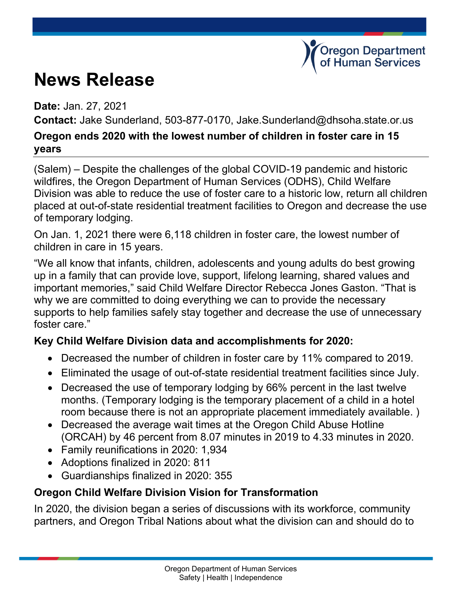# **News Release**

**Date:** Jan. 27, 2021

**Contact:** Jake Sunderland, 503-877-0170, Jake.Sunderland@dhsoha.state.or.us

**Oregon Department Human Services** 

#### **Oregon ends 2020 with the lowest number of children in foster care in 15 years**

(Salem) – Despite the challenges of the global COVID-19 pandemic and historic wildfires, the Oregon Department of Human Services (ODHS), Child Welfare Division was able to reduce the use of foster care to a historic low, return all children placed at out-of-state residential treatment facilities to Oregon and decrease the use of temporary lodging.

On Jan. 1, 2021 there were 6,118 children in foster care, the lowest number of children in care in 15 years.

"We all know that infants, children, adolescents and young adults do best growing up in a family that can provide love, support, lifelong learning, shared values and important memories," said Child Welfare Director Rebecca Jones Gaston. "That is why we are committed to doing everything we can to provide the necessary supports to help families safely stay together and decrease the use of unnecessary foster care."

### **Key Child Welfare Division data and accomplishments for 2020:**

- Decreased the number of children in foster care by 11% compared to 2019.
- Eliminated the usage of out-of-state residential treatment facilities since July.
- Decreased the use of temporary lodging by 66% percent in the last twelve months. (Temporary lodging is the temporary placement of a child in a hotel room because there is not an appropriate placement immediately available. )
- Decreased the average wait times at the Oregon Child Abuse Hotline (ORCAH) by 46 percent from 8.07 minutes in 2019 to 4.33 minutes in 2020.
- Family reunifications in 2020: 1,934
- Adoptions finalized in 2020: 811
- Guardianships finalized in 2020: 355

### **Oregon Child Welfare Division Vision for Transformation**

In 2020, the division began a series of discussions with its workforce, community partners, and Oregon Tribal Nations about what the division can and should do to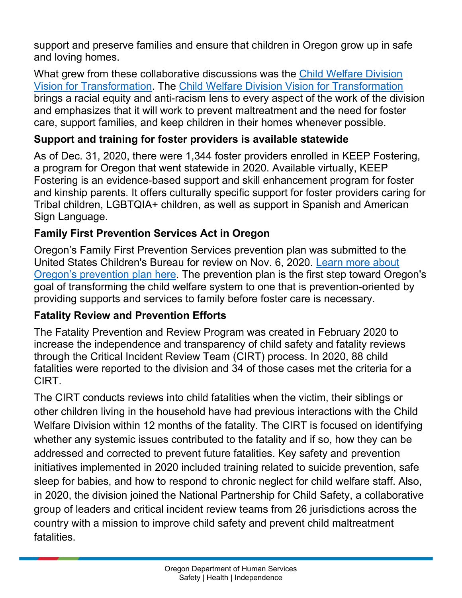support and preserve families and ensure that children in Oregon grow up in safe and loving homes.

What grew from these collaborative discussions was the [Child Welfare Division](https://sharedsystems.dhsoha.state.or.us/DHSForms/Served/de2445.pdf)  [Vision for Transformation.](https://sharedsystems.dhsoha.state.or.us/DHSForms/Served/de2445.pdf) The [Child Welfare Division Vision for Transformation](https://sharedsystems.dhsoha.state.or.us/DHSForms/Served/de2445.pdf) brings a racial equity and anti-racism lens to every aspect of the work of the division and emphasizes that it will work to prevent maltreatment and the need for foster care, support families, and keep children in their homes whenever possible.

#### **Support and training for foster providers is available statewide**

As of Dec. 31, 2020, there were 1,344 foster providers enrolled in KEEP Fostering, a program for Oregon that went statewide in 2020. Available virtually, KEEP Fostering is an evidence-based support and skill enhancement program for foster and kinship parents. It offers culturally specific support for foster providers caring for Tribal children, LGBTQIA+ children, as well as support in Spanish and American Sign Language.

## **Family First Prevention Services Act in Oregon**

Oregon's Family First Prevention Services prevention plan was submitted to the United States Children's Bureau for review on Nov. 6, 2020. [Learn more about](https://www.oregon.gov/dhs/Family-First/Pages/index.aspx)  [Oregon's prevention plan here.](https://www.oregon.gov/dhs/Family-First/Pages/index.aspx) The prevention plan is the first step toward Oregon's goal of transforming the child welfare system to one that is prevention-oriented by providing supports and services to family before foster care is necessary.

### **Fatality Review and Prevention Efforts**

The Fatality Prevention and Review Program was created in February 2020 to increase the independence and transparency of child safety and fatality reviews through the Critical Incident Review Team (CIRT) process. In 2020, 88 child fatalities were reported to the division and 34 of those cases met the criteria for a CIRT.

The CIRT conducts reviews into child fatalities when the victim, their siblings or other children living in the household have had previous interactions with the Child Welfare Division within 12 months of the fatality. The CIRT is focused on identifying whether any systemic issues contributed to the fatality and if so, how they can be addressed and corrected to prevent future fatalities. Key safety and prevention initiatives implemented in 2020 included training related to suicide prevention, safe sleep for babies, and how to respond to chronic neglect for child welfare staff. Also, in 2020, the division joined the National Partnership for Child Safety, a collaborative group of leaders and critical incident review teams from 26 jurisdictions across the country with a mission to improve child safety and prevent child maltreatment fatalities.